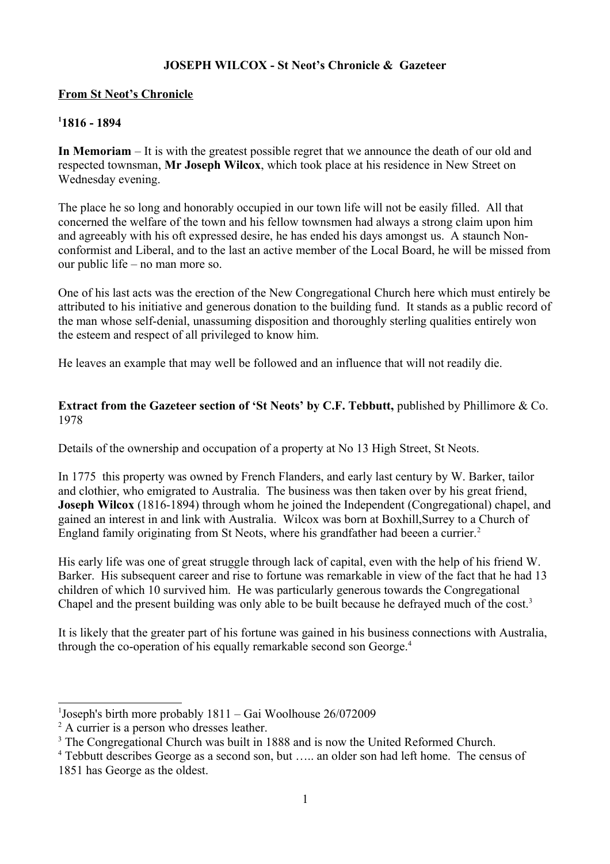## **JOSEPH WILCOX - St Neot's Chronicle & Gazeteer**

# **From St Neot's Chronicle**

# **[1](#page-0-0) 1816 - 1894**

**In Memoriam** – It is with the greatest possible regret that we announce the death of our old and respected townsman, **Mr Joseph Wilcox**, which took place at his residence in New Street on Wednesday evening.

The place he so long and honorably occupied in our town life will not be easily filled. All that concerned the welfare of the town and his fellow townsmen had always a strong claim upon him and agreeably with his oft expressed desire, he has ended his days amongst us. A staunch Nonconformist and Liberal, and to the last an active member of the Local Board, he will be missed from our public life – no man more so.

One of his last acts was the erection of the New Congregational Church here which must entirely be attributed to his initiative and generous donation to the building fund. It stands as a public record of the man whose self-denial, unassuming disposition and thoroughly sterling qualities entirely won the esteem and respect of all privileged to know him.

He leaves an example that may well be followed and an influence that will not readily die.

## **Extract from the Gazeteer section of 'St Neots' by C.F. Tebbutt, published by Phillimore & Co.** 1978

Details of the ownership and occupation of a property at No 13 High Street, St Neots.

In 1775 this property was owned by French Flanders, and early last century by W. Barker, tailor and clothier, who emigrated to Australia. The business was then taken over by his great friend, **Joseph Wilcox** (1816-1894) through whom he joined the Independent (Congregational) chapel, and gained an interest in and link with Australia. Wilcox was born at Boxhill,Surrey to a Church of England family originating from St Neots, where his grandfather had beeen a currier.<sup>[2](#page-0-1)</sup>

His early life was one of great struggle through lack of capital, even with the help of his friend W. Barker. His subsequent career and rise to fortune was remarkable in view of the fact that he had 13 children of which 10 survived him. He was particularly generous towards the Congregational Chapel and the present building was only able to be built because he defrayed much of the cost.<sup>[3](#page-0-2)</sup>

It is likely that the greater part of his fortune was gained in his business connections with Australia, through the co-operation of his equally remarkable second son George.[4](#page-0-3)

<span id="page-0-0"></span><sup>1</sup> Joseph's birth more probably 1811 – Gai Woolhouse 26/072009

<span id="page-0-1"></span><sup>&</sup>lt;sup>2</sup> A currier is a person who dresses leather.

<span id="page-0-2"></span><sup>&</sup>lt;sup>3</sup> The Congregational Church was built in 1888 and is now the United Reformed Church.

<span id="page-0-3"></span><sup>&</sup>lt;sup>4</sup> Tebbutt describes George as a second son, but ..... an older son had left home. The census of 1851 has George as the oldest.